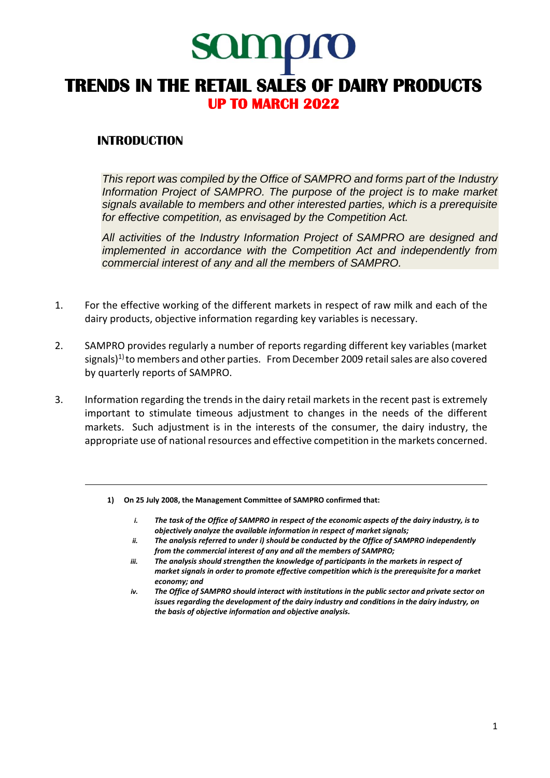# **SOITIQTO TRENDS IN THE RETAIL SALES OF DAIRY PRODUCTS UP TO MARCH 2022**

## **INTRODUCTION**

*This report was compiled by the Office of SAMPRO and forms part of the Industry Information Project of SAMPRO. The purpose of the project is to make market signals available to members and other interested parties, which is a prerequisite for effective competition, as envisaged by the Competition Act.* 

*All activities of the Industry Information Project of SAMPRO are designed and implemented in accordance with the Competition Act and independently from commercial interest of any and all the members of SAMPRO.*

- 1. For the effective working of the different markets in respect of raw milk and each of the dairy products, objective information regarding key variables is necessary.
- 2. SAMPRO provides regularly a number of reports regarding different key variables (market signals)<sup>1)</sup> to members and other parties. From December 2009 retail sales are also covered by quarterly reports of SAMPRO.
- 3. Information regarding the trends in the dairy retail markets in the recent past is extremely important to stimulate timeous adjustment to changes in the needs of the different markets. Such adjustment is in the interests of the consumer, the dairy industry, the appropriate use of national resources and effective competition in the markets concerned.
	- **1) On 25 July 2008, the Management Committee of SAMPRO confirmed that:**
		- *i. The task of the Office of SAMPRO in respect of the economic aspects of the dairy industry, is to objectively analyze the available information in respect of market signals;*
		- *ii. The analysis referred to under i) should be conducted by the Office of SAMPRO independently from the commercial interest of any and all the members of SAMPRO;*
		- *iii. The analysis should strengthen the knowledge of participants in the markets in respect of market signals in order to promote effective competition which is the prerequisite for a market economy; and*
		- *iv. The Office of SAMPRO should interact with institutions in the public sector and private sector on issues regarding the development of the dairy industry and conditions in the dairy industry, on the basis of objective information and objective analysis.*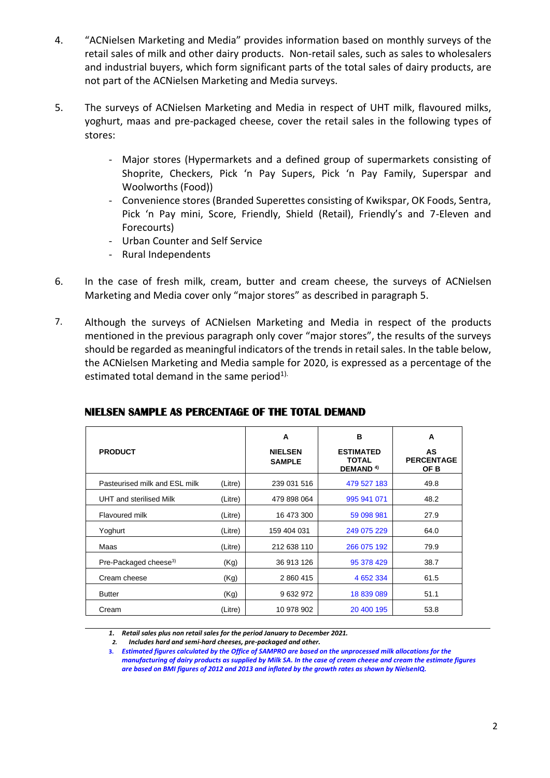- 4. "ACNielsen Marketing and Media" provides information based on monthly surveys of the retail sales of milk and other dairy products. Non-retail sales, such as sales to wholesalers and industrial buyers, which form significant parts of the total sales of dairy products, are not part of the ACNielsen Marketing and Media surveys.
- 5. The surveys of ACNielsen Marketing and Media in respect of UHT milk, flavoured milks, yoghurt, maas and pre-packaged cheese, cover the retail sales in the following types of stores:
	- Major stores (Hypermarkets and a defined group of supermarkets consisting of Shoprite, Checkers, Pick 'n Pay Supers, Pick 'n Pay Family, Superspar and Woolworths (Food))
	- Convenience stores (Branded Superettes consisting of Kwikspar, OK Foods, Sentra, Pick 'n Pay mini, Score, Friendly, Shield (Retail), Friendly's and 7-Eleven and Forecourts)
	- Urban Counter and Self Service
	- Rural Independents
- 6. In the case of fresh milk, cream, butter and cream cheese, the surveys of ACNielsen Marketing and Media cover only "major stores" as described in paragraph 5.
- 7. Although the surveys of ACNielsen Marketing and Media in respect of the products mentioned in the previous paragraph only cover "major stores", the results of the surveys should be regarded as meaningful indicators of the trends in retail sales. In the table below, the ACNielsen Marketing and Media sample for 2020, is expressed as a percentage of the estimated total demand in the same period<sup>1).</sup>

| <b>PRODUCT</b>                    |         | A<br><b>NIELSEN</b><br><b>SAMPLE</b> | в<br><b>ESTIMATED</b><br><b>TOTAL</b><br>DEMAND <sup>4)</sup> | A<br>AS<br><b>PERCENTAGE</b><br>OF B |
|-----------------------------------|---------|--------------------------------------|---------------------------------------------------------------|--------------------------------------|
| Pasteurised milk and ESL milk     | (Litre) | 239 031 516                          | 479 527 183                                                   | 49.8                                 |
| UHT and sterilised Milk           | (Litre) | 479 898 064                          | 995 941 071                                                   | 48.2                                 |
| Flavoured milk                    | (Litre) | 16 473 300                           | 59 098 981                                                    | 27.9                                 |
| Yoghurt                           | (Litre) | 159 404 031                          | 249 075 229                                                   | 64.0                                 |
| Maas                              | (Litre) | 212 638 110                          | 266 075 192                                                   | 79.9                                 |
| Pre-Packaged cheese <sup>3)</sup> | (Kg)    | 36 913 126                           | 95 378 429                                                    | 38.7                                 |
| Cream cheese                      | (Kg)    | 2 860 415                            | 4 652 334                                                     | 61.5                                 |
| <b>Butter</b>                     | (Kg)    | 9632972                              | 18 839 089                                                    | 51.1                                 |
| Cream                             | (Litre) | 10 978 902                           | 20 400 195                                                    | 53.8                                 |

## **NIELSEN SAMPLE AS PERCENTAGE OF THE TOTAL DEMAND**

*1. Retail sales plus non retail sales for the period January to December 2021.*

*<sup>2.</sup> Includes hard and semi-hard cheeses, pre-packaged and other.*

**<sup>3.</sup>** *Estimated figures calculated by the Office of SAMPRO are based on the unprocessed milk allocations for the manufacturing of dairy products as supplied by Milk SA. In the case of cream cheese and cream the estimate figures are based on BMI figures of 2012 and 2013 and inflated by the growth rates as shown by NielsenIQ.*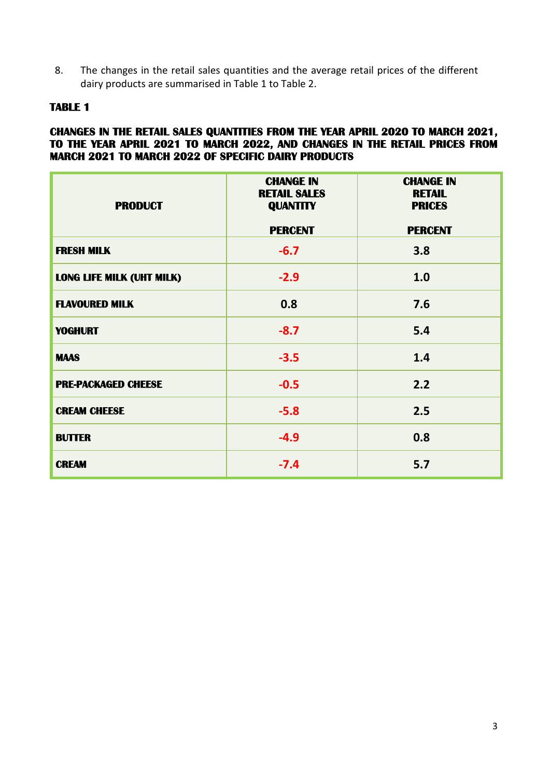8. The changes in the retail sales quantities and the average retail prices of the different dairy products are summarised in Table 1 to Table 2.

### **TABLE 1**

#### **CHANGES IN THE RETAIL SALES QUANTITIES FROM THE YEAR APRIL 2020 TO MARCH 2021, TO THE YEAR APRIL 2021 TO MARCH 2022, AND CHANGES IN THE RETAIL PRICES FROM MARCH 2021 TO MARCH 2022 OF SPECIFIC DAIRY PRODUCTS**

| <b>PRODUCT</b>                   | <b>CHANGE IN</b><br><b>RETAIL SALES</b><br><b>QUANTITY</b> | <b>CHANGE IN</b><br><b>RETAIL</b><br><b>PRICES</b> |
|----------------------------------|------------------------------------------------------------|----------------------------------------------------|
|                                  | <b>PERCENT</b>                                             | <b>PERCENT</b>                                     |
| <b>FRESH MILK</b>                | $-6.7$                                                     | 3.8                                                |
| <b>LONG LIFE MILK (UHT MILK)</b> | $-2.9$                                                     | 1.0                                                |
| <b>FLAVOURED MILK</b>            | 0.8                                                        | 7.6                                                |
| <b>YOGHURT</b>                   | $-8.7$                                                     | 5.4                                                |
| <b>MAAS</b>                      | $-3.5$                                                     | 1.4                                                |
| <b>PRE-PACKAGED CHEESE</b>       | $-0.5$                                                     | 2.2                                                |
| <b>CREAM CHEESE</b>              | $-5.8$                                                     | 2.5                                                |
| <b>BUTTER</b>                    | $-4.9$                                                     | 0.8                                                |
| <b>CREAM</b>                     | $-7.4$                                                     | 5.7                                                |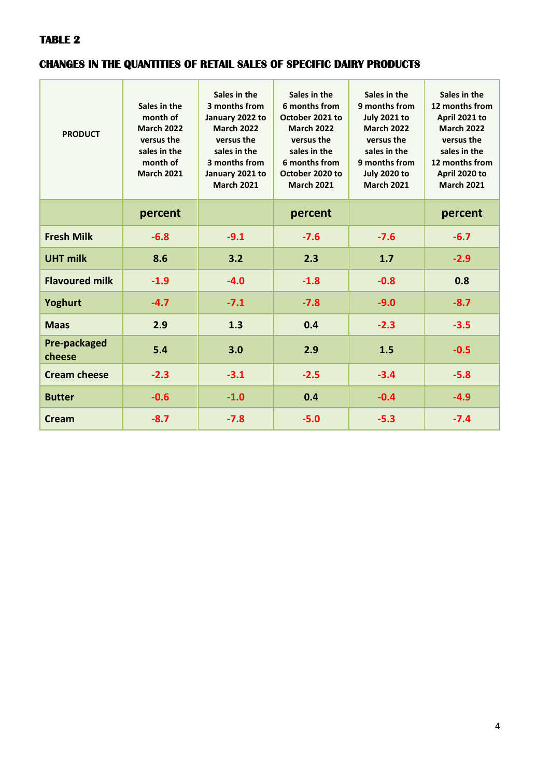## **TABLE 2**

## **CHANGES IN THE QUANTITIES OF RETAIL SALES OF SPECIFIC DAIRY PRODUCTS**

| <b>PRODUCT</b>         | Sales in the<br>month of<br><b>March 2022</b><br>versus the<br>sales in the<br>month of<br><b>March 2021</b> | Sales in the<br>3 months from<br>January 2022 to<br><b>March 2022</b><br>versus the<br>sales in the<br>3 months from<br>January 2021 to<br><b>March 2021</b> | Sales in the<br>6 months from<br>October 2021 to<br><b>March 2022</b><br>versus the<br>sales in the<br>6 months from<br>October 2020 to<br><b>March 2021</b> | Sales in the<br>9 months from<br><b>July 2021 to</b><br><b>March 2022</b><br>versus the<br>sales in the<br>9 months from<br><b>July 2020 to</b><br><b>March 2021</b> | Sales in the<br>12 months from<br>April 2021 to<br><b>March 2022</b><br>versus the<br>sales in the<br>12 months from<br>April 2020 to<br><b>March 2021</b> |
|------------------------|--------------------------------------------------------------------------------------------------------------|--------------------------------------------------------------------------------------------------------------------------------------------------------------|--------------------------------------------------------------------------------------------------------------------------------------------------------------|----------------------------------------------------------------------------------------------------------------------------------------------------------------------|------------------------------------------------------------------------------------------------------------------------------------------------------------|
|                        | percent                                                                                                      |                                                                                                                                                              | percent                                                                                                                                                      |                                                                                                                                                                      | percent                                                                                                                                                    |
| <b>Fresh Milk</b>      | $-6.8$                                                                                                       | $-9.1$                                                                                                                                                       | $-7.6$                                                                                                                                                       | $-7.6$                                                                                                                                                               | $-6.7$                                                                                                                                                     |
| <b>UHT milk</b>        | 8.6                                                                                                          | 3.2                                                                                                                                                          | 2.3                                                                                                                                                          | 1.7                                                                                                                                                                  | $-2.9$                                                                                                                                                     |
| <b>Flavoured milk</b>  | $-1.9$                                                                                                       | $-4.0$                                                                                                                                                       | $-1.8$                                                                                                                                                       | $-0.8$                                                                                                                                                               | 0.8                                                                                                                                                        |
| Yoghurt                | $-4.7$                                                                                                       | $-7.1$                                                                                                                                                       | $-7.8$                                                                                                                                                       | $-9.0$                                                                                                                                                               | $-8.7$                                                                                                                                                     |
| <b>Maas</b>            | 2.9                                                                                                          | 1.3                                                                                                                                                          | 0.4                                                                                                                                                          | $-2.3$                                                                                                                                                               | $-3.5$                                                                                                                                                     |
| Pre-packaged<br>cheese | 5.4                                                                                                          | 3.0                                                                                                                                                          | 2.9                                                                                                                                                          | 1.5                                                                                                                                                                  | $-0.5$                                                                                                                                                     |
| <b>Cream cheese</b>    | $-2.3$                                                                                                       | $-3.1$                                                                                                                                                       | $-2.5$                                                                                                                                                       | $-3.4$                                                                                                                                                               | $-5.8$                                                                                                                                                     |
| <b>Butter</b>          | $-0.6$                                                                                                       | $-1.0$                                                                                                                                                       | 0.4                                                                                                                                                          | $-0.4$                                                                                                                                                               | $-4.9$                                                                                                                                                     |
| Cream                  | $-8.7$                                                                                                       | $-7.8$                                                                                                                                                       | $-5.0$                                                                                                                                                       | $-5.3$                                                                                                                                                               | $-7.4$                                                                                                                                                     |